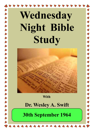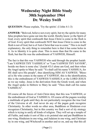#### **Wednesday Night Bible Study 30th September 1964 Dr. Wesley Swift**

**QUESTION**: Please explain, 'Try the spirits'. (I John 4:1‑3)

**ANSWER:** "Beloved, believe not every spirit, but try the spirits for many false prophets have gone out into the world. Hereby know ye the Spirit of God; every spirit that confesseth that Jesus Christ is come in the flesh is of God. Every spirit that confesseth NOT that Jesus Christ is come in the flesh is not of God, but is of Anti-Christ that was to come." This is in itself explanatory, the only thing to remember here is that it has some holes in it. As to Identity it is quite clear. This is more than that He came in the flesh, but that He was the embodiment of YAHWEH, Himself.

The fact is that this was YAHWEH who said through the prophet Isaiah: "I am YAHWEH THY YAHSHUA" or "I am YAHWEH THY SAVIOR", beside me there is none else.' (Isaiah 43) I alone am God, and then when the Angel spoke to Mary he said: "Ye shall call his name YAHSHUA, for HE shall save His people", thus identifying HIM AS YAHWEH. "Blessed is He who comes in the name of YAHWEH', this is the identification, this is the embodiment of YAHWEH‑YAHSHUA or the LORD JESUS as we say today. Jesus is the derivation from the Greek word, and when the Angel spoke in Hebrew to Mary he said: "Thou shalt call his name YAHSHUA".

Of course all the forces of Anti‑Christ deny that this was YAHWEH, or the embodiment of God as YAHSHUA. Of course all the pagans worship a multitude of gods until they do not particularly recognize the true God of the Universe at all. And never do any of the pagan gods recognize Christianity. In other words no other area, Buddhism or Hinduism ever recognizes Christianity, but in this country we find a sort of sly strategy which is trying to unify all kinds of religion. They will set up a temple of all Faiths, and make it sort of like a six pointed star and put Buddhism in one wing, Hinduism in one wing, and Judaism in one wing, and Christianity in one wing, and Witchcraft in another and so on, and say that this all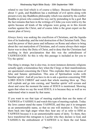related to one God which is of course a fallacy. Because Hinduism has about 11 gods, and Buddhism has a multitude of evil spirits along with present every day Buddhists philosophy which was started by the conflict Buddha in prison who conned his way out by pretending to be a god. But the fact remains that here in the writings of I John you were told to try the spirits because all kinds of the religions were going on in this Jewish warfare against the Christ, and of course John is the great expert on the master plan of Jewry.

Always Jewry was seeking the crucifixion of Christians, and the liquidation of its leadership, and the total destruction of the Christian Faith. They used the power of their purse and influence on Rome and others to bring about the vast martyrdom of Christians, and of course always their major factor was to deny the Deity of Christ, and to deny that the Christians had anything in their proclamation that this was the embodiment of YAHWEH-GOD. So this is why this passage is included as for you to 'Try the spirits'.

One thing is strange, but is also true, in most instances demonic religions actually apply a tremendous fury when the Clergy or their manifestations are questioned concerning the Christ. This explodes their many areas of false and Satanic spiritualism. This area of Spiritualism works with 'familiar spirits'. And all you have to do is ask a question concerning THE LORD JESUS CHRIST and watch that whole meeting blow up. They will explode and go into cursing, and 'familiar spirits' will scream and shout and curse the moment the name of JESUS is mentioned. Showing again that when we say the word JESUS, it is because they as well as we understand what is meant by that name.

If you want to see that type of meeting explode then use the name of YAHWEH or YAHSHUA and watch this type of meeting explode. Today the Jews cannot stand the name YAHWEH, and they put it in tetragram as an unmentionable name, so that no one will mention it. This blows them back into high anger when they hear any of us refer to HIM as YAHWEH because it is an unmentionable name of deity. To them, they have transferred this tetragram to Lucifer who they declare is God, and YAHSHUA the embodiment of YAHWEH is to them the real Satan.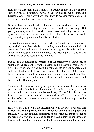They say we Christians have it all twisted around. In fact I have a Talmud sitting on my desk right now in which they say that JESUS is Satan, and Lucifer is God. This is why they act as they do because they are children of the devil, and they call their father, god.

Now; at the same time Lucifer is the god of this world to this degree, he is god to his mutated offspring, and the world order are his troops. But you try every spirit as to its works. I have discovered today that there are spirits who are materialistic, and mechanically inclined to con people, they are trying to put over a Socialist revolution.

So they have entered even into the Christian Church. Just a few weeks ago we had some clergy declaring that they do not believe in the Deity of Jesus the Christ. Oh, they talk about Jesus in great platitudes and talk about his philosophy, and they talk about the teaching of Jesus as to love everybody, offer no resistance to anything.

But this is a Communist interpretation of the philosophy of Jesus only to sell this to the people they want to neutralize. So under this instance they give lip service, and if you have fundamentalists in your congregation, and they don't want to loose their income, then they say; Oh, yes we believe in Jesus. Then they go over to a group of young people and they say: Jesus is a fine teacher and philosopher but of course we do not believe in his Deity any more.

So you see the Devil is cunning enough to even lie about this, and Jesus perceived with Omniscience that they would do this very thing. He said there would be great numbers who would say, 'Didn't I do this, and that in thy name, "LORD, LORD" didn't we do this?' And HE says: "Ye workers of Iniquity, I never knew you", because they have no part nor lot in this matter.

Thus you have to use a little discernment with any rule, even this one because this is a paper and ink rule. When we say that it is a paper and ink rule, well, a lot of things transferred to paper and ink are true as far as the signs of a working idea, and as far as Satanic spirit is concerned, is true except when he is cunning, has his fingers crossed, and knows he is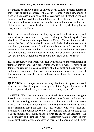not making an affidavit as far as only to deceive. In the general pattern of this, every spirit that confesses that Jesus is come in the flesh, and then goes on and makes a testimony of this, even with their lives, then you can be pretty well assured that although they might be blind in a lot of ways, they might not know because they are tied up by hierarchy but they are still working hard toward God, in the right direction by declaring this as a keystone of our Faith.

But these spirits which start in denying Jesus the Christ are evil, and mutated to the point where they have nothing but Satanic spirits. You should avoid anyone who repudiates the Deity of Jesus. Someone who denies the Deity of Jesus should never be included inside the society of the church, or the structure of the Kingdom. If you are real smart you will never let such a person handle your economy, never let them instruct your children because this is the way of trouble. Never go only by what they say, but by their general pattern of what they produce in testimony.

This is especially true when you deal with psychics and phenomena of 'familiar spirits', and their demonstrations. If you want to blow these "familiar spirits' sky high ask a question about Yahweh and even say Jesus and watch this happen. The best thing of course is to stay out of one of those meeting because it is not a good environment, and the vibrations are not good.

**QUESTION**: Years ago I saw something about a write up on this word, meek, in the Bible, I suppose it was by a 'Milk toast' type of person, but I have forgotten what I read, so what is the meaning of, meek?

**ANSWER:** Well, the word meek in its Greek form means non‑arrogant. First it was in Aramaic and then translated into Greek, and then into English as meaning without arrogance. In other words this is a person who is firm, and determined but without arrogance. In other words there is no premium based on some sad sack pacifist who won't take any position on right. Christ never took a position like this. Even though He was the fullness of God, and had the power. He did not use arrogance, He used kindness and firmness. When He dealt with Satanic forces He was not against taking a whip and driving them off the steps of the Temple,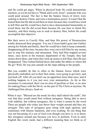and He could get angry. When in physical body He could demonstrate emotion, so we do not have a "Meek and Lowly Jesus", someone who you could push around. The fact is that the Satanic forces of Jewry were seeking to destroy Christ, and were a tremendous power. It wasn't that He feared them but He did avoid them at times because they would have tried to kill Him and He would have had to have demonstrated Immortality to avoid them, but He did avoid them because He was here to finish His ministry, and their timing was to seek to destroy Him, before He could accomplish that objective.

But their move to Crucify Him, and then His power of Resurrection totally destroyed their program. You see if Jesus hadn't gone into Galilee among his friends and family, then He would have had to keep constantly disappearing all the time, because they were out to kill Him by any means, just to stop His ministry and atonement. They had Him trapped several times, once down in the treasury department of the Temple, they had stones down there, and when they took up stones to kill Him, then He just disappeared. They looked behind doors and under the tables so where did He go? Well, He was just outside on the steps talking to the people.

But you couldn't do this to often or the Satanic forces which were physically embodied, not in their first estate, were going to get leery, and just back off. After all you don't see an apparition more than once, and if nothing happens to it you just save your ammunition. As far as this resistance is concerned, there was no area of pacifism or fear, or no area for making Peace with the Devil, on the part of The Christ at anytime. He challenged him always, head-on.

When it says: "Blessed are the meek for they shall inherit the earth", this was that they would stand firm without arrogance. Being able to move with stability, but without arrogance, this is what is meant by the word. There are people who today just throw their weight around and they are arrogant. This type of arrogance goes along with high egotism, and sometimes with intense Satanism, and even exalting. So one thing that was not becoming of a son of God even though you have it, is to throw this arrogance around just because you love to perform. Even in early English this word, meek, had a different meaning than we think as of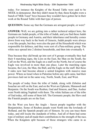today. For instance the Knights of the Round Table were said to be MEEK in demeanour. But they didn't mean by that, these Knights were a bunch of 'Milk Toast" boys because they wouldn't have gotten far in their work at the Round Table with that type of person.

**QUESTION:** Some say that the Germans are arrogant people, or were?

**ANSWER:** Well, we are getting into a rather technical subject here, the Germans are Judah people, of the tribe of Judah, and you find these Judah people in Germany and Austria, and their inheritance and heredity comes down from way back in the book of Genesis, Judah people were always a war like people, but they were also the part of the Household which was responsible for defence, and they were sort of a Para-military group. The white race spread into 2 distinct households, and then into eventually 4.

Thus because they did break up into sort of 4 groups eventually they had their 4 marching signs, the Lion on the East, the Man on the South, the Calf on the West, and the Eagle on a staff on the North, but of course the Eagle was involved in more than one place. Later the marching signs became, the Lion, the Man, the Bull, and the Eagle on the staff. But these 4 sides now had become almost a united kingdom with massive man power. Where as Israel when in Palestine before any split came, had their provinces laid out in the same way, North, South, East, and West.

The people of today from the tribe of Judah, along with Zebulon and Issachar are still on the East, and on the West are Ephraim, Manasseh and Benjamin. On the South was Reuben, Gad and Simeon, and Dan, Asshur went North taking Naphtali with them. The white Italians are of the tribe of Gad today, still some of them left. The Germanic people, the Slavs and the Finnish people are on the East.

On the West you have the Anglo ‑ Saxon people together with the Benjaminites. Some of Reuben people went North into the lowlands of Holland, and the Spanish people are of Simeon. So you can trace them today, and still locate the standards of tribes. And all of them had some type of military and all made their contributions to the strength of the race. When the Kingdom split because of those strangers who came in as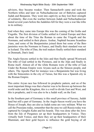advisors, they became weaker. Then Sannacherib came and took the Northern tribes and later on Nebuchadnezzar out of Babylon captured Judah and Benjamin. They went into captivity as they lost their strength of solidarity. But even the warfare between Judah and Nebuchadnezzar lasted several years before the Judahites fell for they were a war like tribe in its military.

And when they came into Europe this was the coming of the Goths and Visgoths. The first division of Goths settled in Central Europe and then about the time of the Titus the Roman in came the Visgoth and the Normans, and settled in their places. Asshur, Naphtali became Scandinavians, and some of the Benjaminites joined them but some of the Benjaminites were the Normans in France, and finally their standard was set in Iceland. The tribe of Dan, the trail makers finally settled their standard in Denmark, Dan's land.

The Anglo‑Saxons settled in the Isles and then finally spread Westward. The tribe of Gad settled in the Pyrenees, and in the Alps and finally in Rome itself. Almost all of the white Romans were of the tribe of Gad. Under the Roman Empire were Aryans such as the Simeon people, and others. The Apostle Paul for instance was a Benjaminite but was living with the Simeonites in the city of Tarsus, but this was a Spanish city in the Roman Empire.

This entire Aryan race has followed its prophetic pattern, and on of the most important things was that a barrier was to be thrown up between the world order and the Kingdom, this is a wall to divide East and West, and this is prophetic, and it was also to be a Judah wall, on the East.

In the Southern part of Germany is this small province of Saxony, Judah land but still a part of Germany. In the Anglo‑Saxon world you have the House of Joseph, they are also as Judah some are very militant. What we call the Prussians today, remember that the area we call Russia today was captured by Genghis Kahn and his hoards. This was done after the Jews from the Isle of Pergamos set up their headquarters in Venice. They virtually built Venice, and there they set up their headquarters of their Illuminati, and their gold buyers to influence the gold buying of all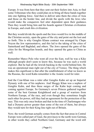Europe. It was from here that they sent out their feelers into Asia, to find some Tribesman who they could plan on to bring all these bands together into one fighting force. And then to deliver unto them the cities of Asia and those on the border line, and divide the spoils with the Jews who would make the conquerors feel utter dependent upon their guidance. Then they would bring him and his hoards against Christian civilization in Europe, and crush this civilization.

But they would divide the spoils and the Jews would live in the middle of the Christian society, open the gates of the city and point out the loot and so forth. This is why Genghis Khans contract was arranged by Chepe Noyon the Jew representative, and this led to the taking of the cities of Samerkand and Baghdad, and others. The Jews opened the gates of the cities for the Mongolian hoards, and they opened the gates to China as well.

Remember Marco Polo who went all over the East, well he was a Kike although people don't seem to know this, because he was such a world explorer. But he had all the Jewish backing in the world behind him. He was an operational man right out of the city of Venice. The thing which makes this significant is that after the establishment of what we know as the Russias, the word Kahn remember is the Asiatic word for ruler.

And the Czar‑Khan was a ruler after Genghis Kahn set up an Imperial Dynasty with one of his nephews. And Shoggy Khan was a nephew of Genghis Kahn, and thus these surges of the Kahn kept coming and coming against Europe. So Germany's seven Princes gathered together some of the best German Knighthood and a group of warriors from Northern Europe, of the race, and even though they sometimes fought each other for power, still they had an agreement for the protection of the race. This was only once broken and that in the time of Charlemagne who had a Dynasty power greater than some of the rest of them, but always they would turn for their King line right out of Britain.

Now; the word German actually comes from the fact that areas in Central Europe were called part of Gaul, the provinces to the north were German, in other words they called Northern Gaul, Germany and the word still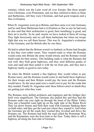remains, which was the Latin word all over Europe. But these people were Christians, even Protestants, and yet they referred to them as Huns and Barbarians, still they were Christians, and had good weapons and a fine civilization.

When St. Augustine went up to Britain, and then came over into Germany, and he said these Barbarians had a civilization as fine as any he had seen, he also said that their architecture is good, their metallurgy is good, and their art is terrific. So he said: maybe we have looked at them all wrong. They fight ferociously and we call them barbarians but when our troops fight that way we call them heroes. This was St. Augustine's evaluation of the Germans, and the British after he was there.

He had to admit that the Britons weren't so barbaric as Rome had thought, in fact they were rather smart. They wanted roads so when the Romans would come into Britain the army would retreat, and the Romans would build roads for their armies. This building roads is what the Romans did real well, they built great highways, and they used different grades of rock and sand and then sealed it with the tar from pits, and they had a highway nearly as good as ours today.

So when the British wanted a fine highway they would refuse to pay Roman taxes, and the Romans would come in and build these highways for their troops and then Britain would pay the taxes and the Romans would leave. So the taxes paid were a small cost to pay for the roads that they needed. Finally St. Augustine said: these fellows aren't so dumb they are getting just what they want.

The Romans were skilled architects and engineers and the bridges they built were magnificent. The Germans also pulled this and they had the Romans make one tour right up through the heart of the Rhine Valley. They put a beautiful road right up on the right side of the Rhine River. They cut down forests and built their road with Germans flanking them on both sides, and they got the road just where they wanted it. And when the Germans got all the roads they wanted they revolted and drove the Romans out. The Romans had built the road called the Romanian Way, and the Romanians were the Iron Gate to the East. Today there is still a highway all along the East side of Germany.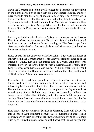Now; the Germans had set up a wall to keep the Mongols out, it went up to the North as well as to the South all along Eastern Europe, and they were trying to stop the Mongol hoards from coming into Western Christian civilization. Finally the Germans and other Knighthoods of the Aryan race moved east and conquered the Mongols of Russia and they overthrew this Dynasty of Shoggy Khan, and his hoards and they established a German Prince as ruler of the area of Russia, and established the throne.

And they called this ruler the Czar of this area now known as the Russias. Then from Germany eastward into Russia was formed a flanking guard for Russia proper against the hoards coming in. The first troops from Germany under the Czar formed a circle around Moscow and at that time it was not called Moscow.

These guards for the Czar were called Prussians. They were the finest of military of all the German troops. This Czar was from the lineage of the throne of David, just like the throne line in Britain. And there was marriage between the throne lines of Russia, Germany, and Britain. Thus King George, Czar Nicholas, and Kaiser Wilhelm when World War I started were all of the House of David, all tied into that chart on the wall of Buckingham Palace, and were cousins.

Remember God said there would never be a lack of one to sit on the throne, well there never has been a lack of one to sit on that throne, and it has only been a matter of selection. The Germans understood that the Davidic throne was to be in Britain, or in Joseph until the day when Christ would come. Kaiser Wilhelm was trained to thoroughly believe that being a man of the tribe of Judah, and ruling over Judah people was destiny. Even Bismarck knew this even though he was part Jew, but he knew this. He knew the Germans were true Judah and the Jews today know this.

They know they are usurpers, but also in Germany there will always be this so called Anti‑Semitism because this is ingrained in these Judah people, many of them know that the Jews are usurpers trying to steal their birth right. This ethnic pattern was so well known that I can show you this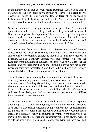in the history books that go back before Bismarck. And it is in British literature all the way back down through the throne line clear to Applestain in Ireland. In fact from the days of Jeremiah on, forward to Ireland, and from Ireland to Scotland, and to Wales, people, all people may not have known it, but the leaders knew, and the lore contains it.

Now; the military were the generals and throne protectors, Prussians, set up what was called a war college, and this college trained the sons of Generals to improve their aptitudes. These were intelligent young men trained in all the remembrance of their inheritance. And it has been proved that it is better to train a son of a mechanic to be a mechanic, and a son of a general to be in the same type of work as his father.

Thus these men from this college would develop the type of defence necessary for the nation. So Germany solidified all of its Princedoms and all systems were brought together, and they had this military order called Prussian. And as a military defence was thus formed to defend the Kingdom from the Khans of the East. Thus there was now a Czar over the Russians and for years they had no more trouble. Having now set up this Czardom they now protected it and they had a military flank always against the Khans, these Nomadic riders of the Steppes.

So the Prussians were nothing but a military line, and out of the white race, they were also great craftsmen. There were some men of the white race who were Metallurgists and they made swords, and some made shoes, and thus the military of the race was established, and we would see in the race this situation where a son would follow in his father's footsteps, and so on down. Today you find relative after relative coming out of West Point, generation after generation.

Other crafts work the same way, but there is always a layer of suspicion upon the part of the public of anything which is a professional officer as such. Always they think someone is going to take them over professionally, and this has of course happened when dynasties have become instrumental in tyranny. Actually instruments of tyranny were proselytes over our race, through the International conspiracy which has always wanted to rule the world at all times. And almost every tyrant we have ever had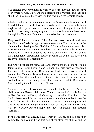was effected by Jewry unless he was sort of a sap like who shouldn't have been where he was. We hear people attacking the Prussians and they talk about the Prussian military cast, but this was just a responsible service.

Whether we know it or not most of us in the Western World can be most thankful that in Divine destiny there was that wall of the Prussian Military might which kept the hoards of Asia from coming through. If there had not been this strong military might in those areas they would have come through the Caucasus Mountains to spread out on into Romania.

They would have come out of the Northern passes as well and been invading out of Asia through out every generation. The overthrow of the Czar and his rulership ended all of this. Of course there were a few rulers who were not all they should have been, but not on the scale of tyranny as found in the World Order as the hoards of Asia took over. Of course the liquidation of all Christian society becomes the goal of the revolution, led by the armies of Christianity.

The Anti-Christ cannot stand our Faith, they must knock out the ruling families who know heritage and replace this rule with a revolution. Practically all those white Russians are dead, today there is almost nothing but Mongols. Khrushchev is not a white man, he is a Jewish Mongol. The little counties of Estonia, Latvia, and Lithuania on the border has now been mongrelised. There are more white Russians in America today than there is in all of Russia.

So you see how the Revolution has drawn the line between the Western civilization and Eastern civilization. Today when we look at this then we realize that the residency of Germany is probably like that of the Anglo‑Saxondom, it is well demonstrated as they bounced back after the war. So Germany is still a part of Israel, on the East standing in place, and one of the results of this perhaps not to far removed is that the Russians will try to sweep across Europe, and they will attempt this through Germany.

In this struggle you already have forces in Europe, and you are thus committed, and you will find that one of the strongest of allies will be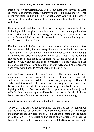troops out of West Germany. Oh, you say but there aren't any troops there anymore. Yes, they are there, you may think they don't have the Air Force or military strength, but in the hour which comes you will find that they are just as strong as they were in 1938. Make no mistake abut this, for this is destiny.

They may smile and bow but they will rise again. Even with all the technology of the Anglo‑Saxons there is also German cunning which has made certain areas of our technology in rocketry and space what it is today. Do not think Germany is backward in developments, for they have terrific potential for the future.

The Russians with the help of conspirators in our nation are moving fast into the nuclear field, they are stockpiling their bombs, but in the book of Zachariah it talks about the fact that in these latter days that there would be a rising powerful conqueror in the midst of Judah, and he would enclose all the people round about, inside the House of Judah (Zech. 12). Then he would wane because of the pressures of all the world, and the great struggle would come against all of our race, and in that intensive victory we would have to save the tents of Judah first.

Well this took place as Hitler tried to unify all the German people once more under the seven Princes. This was a great upheaval and struggle, and during this time we had the House of Joseph fighting the House of Judah, and this is what the book says: The Anglo‑Saxon people, the British and the United States as nations did get involved and we were fighting Judah, but if we had studied the scriptures we would have joined with Judah and the enemy would have been destroyed already. So let us hope there are a few left that we did not massacre at Nuremberg.

**QUESTION:** This word Deutschland, what does it mean?

**ANSWER**: The land of the government, the land of the law, remember that the law goes "out of Zion". This is prophetic, it comes down through out history for the law goes "out of Zion"; and the Sceptre is in the hands of Judah. So there is no question that the throne was transferred into the hands of Joseph for this period of time, but still the Sceptre is in the hands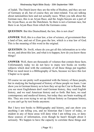of Judah. The Dutch know they are the tribe of Reuben, and they are not of Germany at all, but of course they are inter‑related. You are talking about nationalities here and not actually races. When you talk about the German race, this is an Aryan Race, and the Anglo‑Saxons are a part of the Aryan Race, as are the Dutchmen. So there is not a German race, but there is an Aryan Race from which the Germans come.

**QUESTION:** But this Deutschland, the law, this is not clear?

**ANSWER**: Well, this is a clear law, a law of science, of government thus a land of law, and out of Zion goes the law, which is a true law of God. This is the meaning of this word in the original.

**QUESTION**: Dr. Swift, where do you get all this information as to who we are, and about this law, and what is to happen, how do you know these things?

**ANSWER**: Well, there are thousands of volumes that contain these facts. Unfortunately today we do not have to many text books on worthy subjects which deal with the continuity of all these things put together. What we need most is a Bibliography of facts, because we have this lost Chapter so to speak.

Of course we are pretty well acquainted with the history of these people, but in studying the background of history of these people we learn. I can show you in German history as to how they set up the Czar in Russia. But you see most Englishmen don't read German history, they read English history, and we read American history and so forth. But here, we read contemporary and medieval history, but today they are brain washing all this. They are even trying to set up African history as European history, so you can't go by text books anymore.

But I have text books to Bibliography and history, and can show you anything I am telling you, and no historian that I know of today, or student in any of these areas will deny what I am telling you, or deny these sources of information, even though he hasn't thought about it seriously. We happen to have the capacity to correlate these things and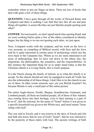remember where to put our finger on them. There are lots of books that deal with quite a few of these things.

**QUESTION:** I have gone through all the works of Howard Rand, and Comparet and there is nothing I can find that lays this all out and puts things all together, it seems like they are just Identity people quoting each other?

**ANSWER**: Not necessarily, we don't spend much time quoting Rand, and we were working before quite a few of the others considered as Identity began, but the thing is we are not quoting each other, we just agree.

Now; Comparet works with the scripture, and his work on the Jews is very accurate, as compiling of Biblical record, with facts and the Jews. And he is quite interested in certain areas of archaeology which ties the Jews back to the Canaanite line. Where as we are more interested in all areas of anthropology that we have run down in the ethnic line, the migrations, the philosophies, the semantics, and the responsibilities. In this instance the important thing for us to under stand today is that the Christian church is a Living Oracle, this is God's purpose.

It is the Oracle among the family of nations, as to what this family is to accept. So the church should not only be equipped to teach all Truth, but also the relationship of all these things. I don't like to tie the church to one set of ideas. In other words someone says: are you British Israelite? No, because Britain is only a small part of this entire picture.

The entire Anglo‑Saxon, Nordic, Basque, Scandinavian, Germanic, and Lombard people, all these are kindred people, all of these of this Adamic race coming down into their heritage, even to their naming is a part of "Is-ra-el", that He selected, for the name of "Israel" before it was given to a specific household was given to the Whole race, and Israel means "Issue ruling with God".

This was told to Enoch, and it was known in the days of Enoch and Job, and Seth also knew that he was of God's "Israel", that he was selected to be the posterity of these rulers with God. The ancient writings of Seth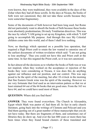were known, they were traditional, they were available in the days of the Zohar when they had all these scrolls. In the days at Nicaea, the books of Seth were not canonized, they did not take these scrolls because they were somewhat fragmentary.

Some of the documents of Seth however had been long used, but Rome did not particularly want to absorb the books of Seth because these books were absolutely predestinarian, Divinely Totalitarian directives. This was the race by which "I AM going to set up my Kingdom, with which "I AM" going to accomplish My purpose. And through this race My Celestial children come into this world, and of them I shall love nothing.

Now; no theology which operated on a possible loss operation, that required a High Priest craft to retain the law wanted to canonize one of the earliest documents of written revelation which said: "I am not going to lose anything". Thus you could not have this and Priest craft at the same time. In fact this negated the Priest craft, so it was not canonized.

In fact almost all the decisions as to whether the books of Seth was or was not inspired, when they worked on the acceptance or rejection of the books they were considering at Nicaea, it was does this do anything against our influence and our position, and our control. This was supposed to be the spirit of the meeting, but after 10 o'clock in the morning that fine Eastern Greek wine was the spirit of the meeting. However we are very fortunate that God used as an intervention pattern so that we at least retained 64 out of the 66 books that are good ones. From the 163 we have 64, and we could have used most of them.

#### **QUESTION:** Where did you find them?

**ANSWER**: They were found everywhere. The Church in Alexandria, Egypt which Mark was pastor of, had them all. In fact in early church literature, going back into the writings of Clemens and Polycart and you find them quoting out of a great number of these manuscripts that you do not have today. But there are fragments of them, and sometimes out of libraries they do show up. And over the last 400 years or more there has been times when they found bound clusters of these translated and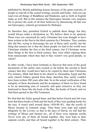published by British publishing houses because of the great curiosity of people to read all of the scared writings, records and books. And you can read even all things of Buddhism and Hinduism, and so forth in English today as well. But in this instance the Episcopacy became very responsible to protect the souls of all their believers by denouncing all that was not Episcopacy, (church government by Bishops).

So therefore they permitted Oxford to publish these things, but they would always make a declaration as: We believe these to be spurious. These were not canonized by early Christians but were thought to have been written in the first to the third centuries by Christians. They continually did this, trying to discourage the use of these early scrolls, but the thing that amuses me is that the finest people we had in the world were Christians whether the first or the third century, but if Christians wrote these things in the first or third century, they were either copying them from manuscripts which they had or they weren't very good people, so which?

In other words, I have been fortunate to discover that most of the good documents of the earlier ones existed so far before the second or third century that they would have had to be copied by these later Christians. For instance, Mark had them in his church in Alexandria, Egypt and the early church Fathers quoted from them, therefore they surely couldn't have been written 200 years after that. So in the actual verification of the antiquity of these documents and the acceptance of them we have found to be an interesting area of research, and quite extensive as they run backward to those like the book of the Bee, the books of Enoch, and we find them quoted in the Old Testament.

We find that the Zohar quoted them, and that before Enoch and Job were born that these books of Seth and the book of Bee were guiding books for the race. It wasn't until around about 1450‑80 B.C. that the scrolls of Moses became in common usage. Then these were kept and copied diligently by the Levites, so that in the days of David, we still had the writings of Moses and Samuel etc., all of these were separate scrolls. Never were any of them all bound together, they were kept in their separate scrolls, and then all bound together in the third century. Then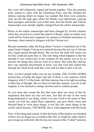they were still religiously copied and bound together. Then the printing press started to come with the Gutenberg Press, and this finished the tedious copying which no longer was needed. But there were centuries, clear up into the dark ages where the Monks were laboriously copying these passages, and books even at this time, then the Sinatic and Vatican manuscripts were already slightly changed from the earlier manuscripts.

Where as the earlier manuscripts had been changed by Jewish scholars when they moved in to control the church of Rome, where in earlier texts could still be found and compared, for instance in Holland and places in Germany, these started to disagree with the Vatican text.

But pre‑eminately today the King James Version is translated out of the same Greek-Vulgate-Vatican text material because the text out of Alexandria, Egypt passed through Rome. But see how the truth still comes out, for they could not quite bury it. The only thing which happens is that the attempt to sow controversy in the scripture by the enemy was to try to obscure the things they did not want us to know. But what they did not have was spiritual discernment to know was that God had seeded this through the whole book until they were still not able to blot it all out.

Now; we have people today who do not worship, THE LIVING WORD, instead they worship the paper and ink. If there is one sentence which disagrees with 2/3 of the book, still that sentence has to be right according to their line of thought. But we discover that this sentence was not in the original, it was inserted to change doctrine and to confuse people.

So you must also accept the fact that since there are areas of this by inspiration that there are also evil men. Just like all men in this room being dedicated to one thing, which is to serve God to the point of their vision, yet God has called them separately, and gave them vision and directed them to write these things, it was like this, these things in the scrolls which became, THE BOOK, this is what happened with this book.

Now; if this thing had ceased, if after the book of Revelation was finished, if there was no longer any revelation like this we might be rather hard to put to keep up with truth. But his has not ceased in this "Called" ministry,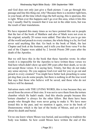and God does not only just give a flash picture. I can go through this passage and line this thing out, why? Because there is a monitor right here, in your head, all the time which rings the bell saying, this is spurious, this is right. When ever this happens and I go over this area, when it hits this way I usually find by research that it was not in the older texts, but was the result of later translations.

We have repeated this many times as we have pointed this out to people that the last of the book of Matthew and also of Mark were not even in the original, actually 20 verses were added. That idea for you to go into all the world and preach to every creature, the whole thing is a lie, for God never said anything like that. Go back to the book of Mark, the last Chapter and look at the footnote, and it tells you that from verse 9 to the end of the Chapter were added by 2 Jewish Priests 200 years after the death of the Apostles.

But we still have this in the book that these Apostles wrote. In other words it is impossible for the Apostles to have written these verses we find here which didn't show up until 200 years after their death, so we do not accept those verses. It is saying here, Trinity, but they do not make any sense anyway. Do you suppose God ever said for you to go out and preach to every creature? You might have better luck preaching to some pet dog than you do some people, but there is nothing in all the true word that says that those who believe will be saved, and those who do not believe will be damned.

Salvation starts with THE LIVING WORD, this is true because they are saved from the errors of their sins. It was not to save them from the torture chamber which He hadn't made. And this shocks people because this 'torture chamber' is always for the other fellow. But there have been people who thought they were never going to make it. We have mentioned this in the past, and we mention it again, over in the book of Deuteronomy which is the last of the books of Moses, and yet it tells about his death and burial.

Yet no one knew where Moses was buried, and according to tradition the body was hidden. So how could Moses have written the end of this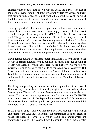chapter, when nobody else knew about his death and burial? The last of the book of Deuteronomy of course was not written by Moses, he knew that his time had come, and he just went out to depart this earth, he didn't think he was going to die, and he didn't, he was just carried upwards just like Elijah, was in a space craft of some kind.

Some people don't like this word space craft either since there are so many of them around now, so call it anything you want, call it a chariot, or call it a super dread-naught of the MOST HIGH but this is what was used. The great ships came in the days of Ezekiel, and they were real. I have seen them and no one has given us any astronomical word for them. No one in our great observatories are telling the truth if they say they haven't seen them. I know it is not taught but I also know many of these men, and I know that I can see with my equipment, so I know what they can see with all their advanced equipment which is available to them.

Now; getting back to Moses, remember that Moses was with Jesus on the Mount of Transfiguration, with Elijah also, so this is evidence enough. If Moses was dead, he would have been in the Netherworld waiting for Christ to come to speak to the Spirits of the Adamites in captivity. But Moses was not there, he shows up on the Mount of Transfiguration with Elijah before the crucifixion. He was already in the dimension of spirit, and never tasted death, that was why he was on the Mountain of Transfiguration.

The thing I am pointing out here is that in the original text of the book of Deuteronomy before they redid the Septuagint there was nothing about Moses dying. The text closes with Moses knowing that he was about to depart. That he was not going to enter into Canaan land for YAHWEH was going to take him. So the Septuagint was redone and all this nonsense about Moses being dead was put in. But you remember how the Devil did not know where the body of Moses was?

In the book of Jude it tells you this, the Devil was arguing with Michael, and Michael the Archangel is actually the commander of all the fleets of space. He heads all those fleets which Daniel tells about which are thousands times ten thousands, times thousands. In this last climatic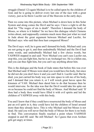struggle (Daniel 12) again Michael is to be called upon by the children of God, and he is going to deliver every last one of the race with a great victory, just as he threw Lucifer out of the Heavens in the early days.

Then we come into this picture, when Michael is down here in this Solar System and along comes the Devil and he says: I have a right to all the dead for "The wages of sin is death". Therefore I demand the body of Moses, so where is it hidden? So we have this dialogue which Clemens writes about, and supposedly contains much more than just what we read in Jude about the great argument between Michael and Lucifer, for Michael says: who said that thou hast conquered Moses?

The Devil says: well, he is gone and I demand his body. Michael said: you are not going to get it, and then undoubtedly Michael and the Devil had some words, and undoubtedly Michael had a few choice words, but YAHWEH stepped in and said: 'Now Michael you can't cuss Lucifer out, stop this, you can fight him, but he is an Archangel too. He is a fallen one, and you can thus fight him, but you can't say anything about him.

This is the dialogue and the book of Jude states that before this was over that Michael said: If Moses were dead you would have his body, but since he did not die you don't have it and you can't find it. Lucifer said: But he died, you just carried his body way out into space to rob me of his body, and I demand that you return it, or I will wreck great havoc upon the kinsmen of YAH. Michael then dared him to do that because then he would intervene. So the idea was that the Devil would take his spite out on us because he could not find the body of Moses. And Michael said: 'If thou had a body thou would have filled it with evil spirits and led the children of YAHWEH away with this body.

You and I know that if they could have resurrected the body of Moses and put an evil spirit in it, they could have led the children of Israel around more than they already have. This is why Michael said but Moses is not dead. He said you will never find the body of Moses for there is no body to find. This conversation finally reached a point where YAHWEH stepped in and HE said: 'Be still Michael'. So I guess that even Archangels get angry at times.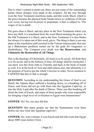This is what I wanted to point out, these are just some of the outstanding points where changes were made in the scripture. All the way through even the New Testament insertions made, and this word, Sheol, which is the grave because the physical body breaks down as violations of Divine Law occur, having lost its power to perpetuate, it thus is subject to, 'The wages of sin is death'.

The grave thus is Sheol, and any place in the New Testament where you have any Hell, it is translated from the word Sheol meaning the grave. In the Old Testament it is Sheol, and in the New Testament it is also Hades, but always it is taken out of this word, grave. The thing is there is not one place in the translation until inserted in the Vatican manuscripts, that sets up a Babylonian perdition meted out by the gods for vengeance or disobedience. The Conquest over death was **the Resurrection**, and **Ultimately the Restoration of All Things.**

This is the theology of Christianity, all Israel is to be saved. All flesh then is to be saved, and in the fullness of time All things shall be reconciled. I can show you this from John to Timothy and back in the book of Isaiah as well. It is in the book of Acts and other places also, but ultimately it is the purpose of God to put the whole Universe in order. Never mention to YAHWEH that this or that is enough.

**QUESTION:** According to my understanding the Grace of God to our family the Adamic Race suffered a breaking down, or a breaking off of Grace, and Grace did not go with them into the Egyptian Captivity, or into the Holy Land after the death of Moses. There was this breaking off about the time of Enoch, and many of these people who were responsible for bringing a high level of civilization to Egypt were Summerians?

**ANSWER**: No! No, our race did that.

**QUESTION:** But many people say that the Summarians were there before our race went into Egyptian captivity?

**ANSWER:** No, wait a minute, it was Enoch and Job who went into Egypt about 5000 years before Christ.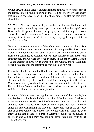**QUESTION:** I have often wondered if more of the history of that part of the family is to be found in some of these old books? (We would guess that this man had never been in Bible study before, or else his ears were closed. Ha!)

**ANSWER:** We won't argue with you on that, but I have talked a lot and will again when something doesn't get in the way, but in the High Tarim Basin in the Steppes of that area, our people, the Sethites migrated down out of there to the Persian Gulf. Some went into India and this was the coming of the Aryans, the Vedic into India, bringing the highest civilization India ever had.

We can trace every migration of the white men coming into India. But ever one of those strains coming in were finally conquered by the extreme weight of numbers over the years. In other words the line coming down from Seth continued to expand, but we must remember that there were catastrophes, and we were involved in them. In the upper Tarim Basin it was the attempt to swallow up our race by the Giants, and the Mongols which brought about the catastrophe was the flood of Noah.

Remember that by passing the flood was Enoch and Job who were down in Egypt having gone down there to build the Pyramid, and other things, long before the flood. When Enoch and Job went into Egypt our race had already built the city of Ur‑usalem, with Ur meaning just as UR of the Chaldeas meant city of the Chaldeas. Ur‑usalem meant the City of Peace. Then with these Savants at that time Enoch and Job went down into Egypt, and there built the city of On to begin with.

Enoch and Job both went leading this great company of their people, but they left back in that land which is now called Palestine some of their own white people in those cities. And the Canaanites came out of the hills and captured those white people in those cities and wiped them out. They then called the land Canaanland and they built their cities such as the city of A and of course Jericho and others. These cities were built after the overthrow and killing of some of our race. After they had produced such men as Enoch and Job and they had gone on down into Egypt with those 144,000 Savants.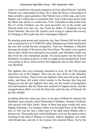Later we would have the great conqueror as God called Nimrod. And this Nimrod was a descendent of Ham. He is after the flood, a descendent of Ham actually a great grandson. But Nimrod was a white man, and every Hamite was a white man so remember that. And Terah comes down from the Shem line and he is a white man. Now; remember at that at that time this Ur of the Chaldeas was the most powerful city in the world, and Nimrod ruled over this city, but Terah the father of Abraham was the Prime Minister. But now the Asiatics were trying to capture this society by bringing in their gold and silver and pagan religions.

By pouring great pomp and ceremony out, then Nimrod fell for this and was victimized by it so YAHWEH called Abraham out of that land before the race line would become mongrelise. And now Abraham, a Shemite becomes the leader of the purest line from Shem. The spirit even required him to take a bride from among his own people, and Abraham's bride was thus from his own immediate people. For racial purity was the basis of Abraham's covenant on down, so that we might not be mongrelised. Some even going as far as Africa before this happened, but in time Ham's line was absorbed.

The Japhetic line was eventually absorbed in Asia, by the Chin people, and those out of the Steppes. Thus you are now down to the Shemitic white man of today. There is not true Japhetic white man left in the world today, and those old words which remain in the Russias like Gog and Magog are not the true Japhetic lines they are the results of mongrelization and mutation. But the Shem line retained its highest purity, and the mongrelisation didn't even hit the Ham line until the day of Nimrod. So get this straight.

In talking about the white race lines, in the days of Moab for instance the Moabites were actually white Patriarchial Chieftains, Nomad Chieftains who moved with their flocks. Some of them had great wealth and were Mighty Potentates. For instance Jethro was the High Priest of the Midianites, so who was he, but a white man in the land called Midian after a famous son. The people later called Midianites were not the same as those dwelling in the land of Midian as Nomads. Jethro's daughter was white with blonde hair, and she is the woman who married Moses. So by the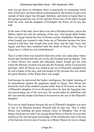time you get down to Abraham, there is practically no remaining which lines which have not been almost exterminated by the hoards except a few outside of their major line through Abraham, and down in Egypt there is this group around the city of On, and this Priest line of On where Joseph finds his wife, and the daughter of Pontipher the Priest of On was this lady.

At the time of the baby Jesus there was still a Priesthood there, and at the Sphinx which ties into the antiquity of the race. And Egypt didn't bother them, for Egypt feared this line of Hyskos (white shepherds). Remember when Joseph was warned to take Jesus out of Palestine because the Jews wanted to kill him, that Joseph then took Mary and the baby Jesus into Egypt, and there they remained until the death of Herod. Thus, 'Out of Egypt have I called my son (embodiment).'

Thus it is that Christ was raised for that time at the very same place where Enoch and Job had built the city of On, the Pyramid and the Sphinx. This is where Moses was raised and educated, where Joseph got his wife, where the Mystery wisdom was put into the Pyramid, where it was known and kept. After all Moses was raised as the son of Pharaoh's daughter but he was a leader of the race, and was taught in On, because this was where the great Mystery of the White Race was taught.

And because he perceived the higher intelligence, the higher learning of its monotheism against the paganism taught in Egypt, then Moses preferred the God of his mother's people rather than to be known as the son of Pharaoh's daughter. Even to the point where he slew the Egyptian who was persecuting one of his own race. He would rather be identified with this race and the proper God than to be known as the son of the Pharaoh's daughter.

This was no small honour because the son of Pharaoh's daughter was next in line to be Pharaoh because Pharaoh had no true son. This is when Moses was building the great treasure cities of Memphis. One of the things which proves what I am saying about Moses is that he was not only trained at On, but had great knowledge of the architecture and of the use of the fulcrum (levers) and of course as a Master Mason he was in charge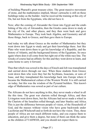of building Pharaoh's great treasure cities. The great massive movement of stone, and the mathematics implied, Moses' cartouche is still on those buildings today as the builder. And he received the training at this city of On, but not from the Egyptians, who did not have it.

Now; after the coming of Alexander the Great into Egypt and the establishing of the city of Alexandria, then the Greeks came down to study at the city of On, and other places, and they then went back and gave Mathematics to Europe. They took back Algebra, and Geometry and all those things, back to Greece, and then gave them to Europe.

And today we talk about Greece as the mother of Mathematics but they went down into Egypt to study and got their knowledge there. Just like Plato who went down there to get his knowledge of a Republic, and the history of Atlantis, and the background history of the Egyptians. So once again where does it all come from but right out of the white race line. The Greeks of course had an affinity for this and they went down to learn, and came home to carry it forward.

Thus that which was sowed in the days of Enoch and Job was transplanted and carried down through our race. When these students from Greece went down then who were they but the Scythians, Issacians, or sons of Isaac, and they transplanted this knowledge back into Europe where it became the Mathematical culture of the Western World. It is still carried on today, but this was the wisdom of the Pyramid builders. This knowledge of Mathematics was sowed as part of our culture.

The Africans do not have anything in this, they never made a wheel in all the this time. The great war chariots rolled through Africa, and then Livingston went down there, but the Africans had never made a wheel in the Chariots of the Israelites rolled through, and later Stanley and Africa. This is just the difference between people of vision, of the Household of God, and the masses without vision who have gone backwards under Luciferian and Witchcraft and so forth do not have the vision. They, these people of Africa are not much different today, and you expose them to education, and give them a degree, but none of them can think the same as the children of YAHWEH, and you should not expect them to.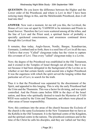**QUESTION:** Do you know the difference between the Higher and the Lower order of the Priesthood, and where is Levi in this? I have been noticing many things in this, and the Melchizedek Priesthood, does it all lead into this?

**ANSWER**: Now wait a moment, let me tell you this, the Levitical, the House of Levi was set apart by YAHWEH to be ministers and Priests to Israel forever. Therefore the Levi were scattered among all the tribes, and the line of Levi and the Priest seed, a spiritual factor of probably a specially quickened consciousness, and awareness continued down through this Levitical line.

It remains, thus today, Anglo‑Saxon, Nordic, Basque, Scandinavian, Germanic, Lombard and so forth, there is a seed line of Levi in all the race. I believe that every "Called" clergyman today has the vision to capture this covenant of Levi. Thus every "called" clergyman today is a Levite.

Now; the degree of the Priesthood was established in the Old Testament, and it existed in the Temples of Israel through out all times. But it was not because it had been delegated in the background of the Levites as to whether or not that certain family could ascend into a higher Priesthood. It was the eagerness with which the spirit served the longing within that particular set of Levi, to search for the truth.

Thus it is that the Priesthood was separated by the discernment of the Spirit, and appealed to this longing. This is why the early Priesthood had the Urim and the Thummim. This was a factor for divining, and was spirit controlled. And the Priests came before HIM in the days of the Israel nation, and those who spiritually desired to teach the Mysteries of YAH-WEH were sealed by the Urim and Thummim, and others were placed in other areas of lesser responsibility.

Now; this continues into the areas of the church because the Ecclesia of the church is the same Ecclesiastes in the New Testament that we have as the Kehilla in the Old Testament. It is the Spiritual centre of the Kingdom, and the spiritual centre in the nations. The priesthood continues and in the time of the Christ he calls his disciples, and they are 'called out' but they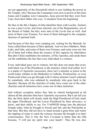are not apparently of the Household which is now holding the power at the Temple, why? Because the Canaanites were now in power at this time. Annas and Caiaphas were Canaanites, Jesus proved that they were from Cain, from their father who was, 'A murderer from the beginning'.

He thus in the 8th, Chapter of John identifies them with Lucifer. Zacharias was a pure Levite, and Jesus selected, out of the Benjaminites, out of the House of Judah, but they were men of the Levite line as well. And most of them were Essenes. For most of them belonged to the company desirous of spiritual truth.

And because of this they were camping out, waiting for the Messiah. So Jesus called them because of their aptitude. And we have Matthew, Mark ,Luke, and John, and some of them were Essenes, and some were not, but all of them had within them the essence of this capacity by inheritance. But after Christ establishes his ministry, of His Apostles, and sends them out He establishes the fact that every individual is a witness.

Every individual goes out to witness, but this does not mean that every individual was of the Priesthood, or the ministry which God called. So it is a matter of Apostolic succession, there isn't a minister or priest in the world today whether in the Methodist or Catholic, Presbyterian, or even Pentecostal when you get through with it whose minister wasn't ordained by somebody, who was ordained by somebody who goes back to the Apostles. Because all the churches of today have come out of the other churches and all ministries have come out of other ministries.

And without exception unless they had no church background at all, almost all the churches then have Apostolic succession. But I can tell you this, the Holy Spirit will clearly mark the High Priesthood of God, mark the upper Priesthood, and the Lower Priesthood by their advocacy, to know, and their ability to see. For YAHWEH brings into the physical Temple today what he brought to Enoch and Job, and the Patriarchal at that time. But they did not have to stand around a great brier and watch the rippling of water to catch the witness, because He brought it to their consciousness. This is why the New Covenant is better than the Old, because, "I will put my spirit into your hearts". Thus He was also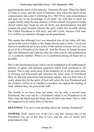quickening the spirit of His ministry. Therefore He said: 'When the Spirit of Truth is come, and the word is Paraclete, thus when the Spirit of my consciousness has come it will bring ALL TRUTH to your remembrance, and lead you to the knowledge of all truth". So with this in mind we would classify today the true ministry of God's church, this great invisible church which may break up into all forms and denominations, but still remains the great invisible church, the spirit within this invisible church. The Called Priesthood is still alive, and still Levite, because God said: Levi will be my ministers through out all generations.

This meant that although Levi was absorbed into all the tribes still they can be in the seed of Judah, or the Anglo‑Saxons and so forth. You do not find Levi numbered out in one corner of the nations of Israel, for Levi was given to be a Priesthood for them all. And the House of Joseph became split into Manasseh and Ephraim thus the tribes can be still numbered at 12, a symbolic number. When Levi is numbered among all Israel this is possible.

This is the functioning factor which can be multiplied in all mathematical patterns of genes and spiritual capacities which God continued to the present. This is why some areas of the hierarchy try to set up some areas of divining and Priestcraft and selection for some areas of Priesthood. They do that and sometimes that becomes satanic, but you don't have to worry about this for the spirit of God will select the true Priesthood and the evidence will be as to whether or not they can capture the leading of God, whether they can present the truth.

The trouble is we have been led today, not by only a second class Priesthood, but even led by a Priesthood which is no Priesthood at all. Thus when the blind lead the blind, they all fall in the ditch. This is what has happened to us many times in the past.

**QUESTION:** You never said anything about the Aaronic Priesthood?

**ANSWER:** Well, Aaron was of the Levi, and this Aaronic line of the Priesthood was out of this line of Levi, and the sons of Aaron were perpetuated in this.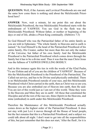**QUESTION:** Well, if the Aaronic and Levitical Priesthoods are one and the same how come there is nothing said about the Melchizedek Priesthood here?

**ANSWER**: Now, wait a minute, let me point this out about the Melchizedek Priesthood, the true Melchizedek Priesthood starts with the embodiment of YAHWEH. You see God in the flesh was the Melchizedek Priesthood. Without father, or mother or beginning of the days or end of life, abides a Priest King continually. (Hebrews 7:3)

So God Himself who was the Patriarchial father of his entire family as you are told in Ephesians: "The whole family in Heavens and in earth is named." So God Himself is the head of the Patriarchial Priesthood of his entire family, His Creator, author but more than this not only the maker of the Universe, but father of his own family And the Melchizedek Priesthood is the Patriarchial Priesthood which comes down through the family but it has to be a divine seed. Thus it was that the man Christ Jesus was the fullness of YAHWEH DWELLING BODILY.

And in this instance again this ties in with the words of the 82nd Psalm, "Ye are Elohim and all of you are the children of YAHWEH". Because of this the Melchizedek Priesthood is the Priesthood of the Patriarchial, The Called out service, and has to be Divine seed physically embodied. There is no Melchizedek Priesthood outside of your race, and this Melchizedek Priesthood which Christ carried in the earth, then as Christ was so are you. Because you are also embodied out of Heaven into earth, then He said: 'You are not of this world just as I am not of this world. Thine they were in the Heavens and Mine they are in earth'. All those that constituted the Disciples and all the rest of the race are, thine (Spirit) in the Heavens, and mine (embodied) in earth under this Melchizedek Priesthood.

Therefore the Maintenance of this Melchizedek Priesthood actually comes down as the highest order of the Patriarchial Priesthood. It does not stay with just Levi it moves through all the House of Israel people, but the fact remains that this is a Patriarchial Priesthood, and a subject we could talk about all night. I don't want to get into all the responsibilities of this, but just remember that this does not start, 'After the flesh', for it is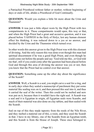a Patriachial Priesthood without father or mother, without beginning of days or ends of life, abides a Priesthood of God Continually.

**QUESTION:** Would you explain a little bit more about the Urim and Thummim?

**ANSWER:** It was just a little object worn by the High Priest with two compartments in it. These compartments would open, this way or that, and when the High Priest had a great and accusive question, and it was placed before YAHWEH in the Holy of Holys, lest any human element effect his thinking, it was reduced down to a yes or no answer, and decided by the Urim and the Thummim which turned over.

In other words this answer given to the High Priest was with this element of divining. And the only reason this was done even though this man had spiritual discernment if he was a good High Priest, and even though he could come out before the people and say: 'God told me this , or God told me that', still if you could come after the question had been placed before God and through this area of divining the answer was yes or not, then you knew that the Priest had no control over that answer.

**QUESTION:** Something came up the other day about the significance of the Scarab?

**ANSWER**: Well, a Scarab is a seal, you might carve a seal for a ring, and in early days when they sealed a manuscript of parchment they put some material like sealing wax on it, and then pressed this seal into it, and thus it carried the seal of the writer. Then this could not be melted and new wax put on it, because then it wouldn't have the right seal. A Scarab was a seal and it is Egyptian in origin, all Egyptian seals were Scarabs, and much of their material was also done on clay tablets, and then sealed with the Scarab.

And on top of this they made tapestry from the reeds of the Nile River, and they melted a material out of this, a rosin, and they used the Scarab in that. I have in my library, one of the Scarabs from an Egyptian tomb, and this Scarab is from the House of Joseph. These once belonged to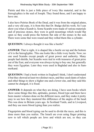Pietrie and this is just a little piece of ivory like material, and in the hieroglyphics is the seal of Joseph. They found these, and I am happy to have one.

I also have Peitries Book of the Dead, and it was from the original plates, and a very old copy, it is from this that Dr. Budge did his work. So I can show you what a Scarab is. Some Scarabs were made of various materials and of precious stones, they were in gold mountings which would flip open so they could press the bottom flat side of the stones in the seal. There were some that were round and they rolled them like a cylinder.

**QUESTION:** I always thought it was like a beetle?

**ANSWER**: That is right, it is shaped like a beetle on top and the bottom of it is the hieroglyphic. This one looks like a little ivory beetle. Now; no one used Scarabs except people of great power and authority. Many people had shields, but Scarabs were tied in with treasures of great prize out of the East, and everyone was always trying to buy one, but generally they were Egyptian. Later they were used in Baghdad and also in Sammerkand.

**QUESTION:** I had a book written in England I think, I don't understand it but they showed at least two distinct races, and they used slants of rulers and other things to show a higher one and a lower one, and they said this cannot be changed, it is fixed.

**ANSWER:** It depends on what they are doing, I have seen books which show some things like this, aptitudes, posture, blood type and there have been master volumes done on the different races, and they make it pretty easy to see how they mastered this difference of the angles of the head. This was done in Britain years ago. In Scotland Yards, and in Liverpool, and they use more blood typing than you realize.

Fingerprints and blood typing can be used to divide the races, and this is done more than you realize. The Israeli are even using finger printing now to tell which people are Jews and which are not, so they can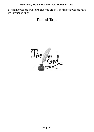Wednesday Night Bible Study - 30th September 1964

determine who are true Jews, and who are not. Sorting out who are Jews by conversion only.

#### **End of Tape**

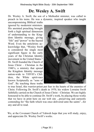# **Dr. Wesley A. Swift**

Dr. Wesley A. Swift, the son of a Methodist minister, was called to preach in his teens. He was a dynamic, inspired speaker who taught uncompromising Biblical truths

ignored by modernist ministers. His anointed preaching brought forth a high spiritual dimension of understanding to the Kingdom Identity message, giving "life" and "power" to the Sacred Word. Even the antichrists acknowledge that, "Wesley Swift is considered the single most significant figure in the early years of the Christian Identity movement in the United States." Dr. Swift founded the Church of Jesus Christ – Christian in the 1940's, a ministry that spread the Kingdom Identity message nation-wide to YHVH's Children, the White spirit-race known Scripturally as "sons of God". By teaching these truths



to true Israel, this warrior-priest put fear in the hearts of the enemies of Christ. Following Dr. Swift's death in 1970, his widow Lorraine Swift faithfully carried on the Church of Jesus Christ – Christian. We are highly honoured to be able to continue Dr. Swift's work, by placing those works that we have in print here on our web site ...preserving and earnestly contending for "the faith which was once delivered unto the saints"...for any and all to read.

We, at the Covenant Church of Yahweh hope that you will study, enjoy, and appreciate Dr. Wesley Swift's works.